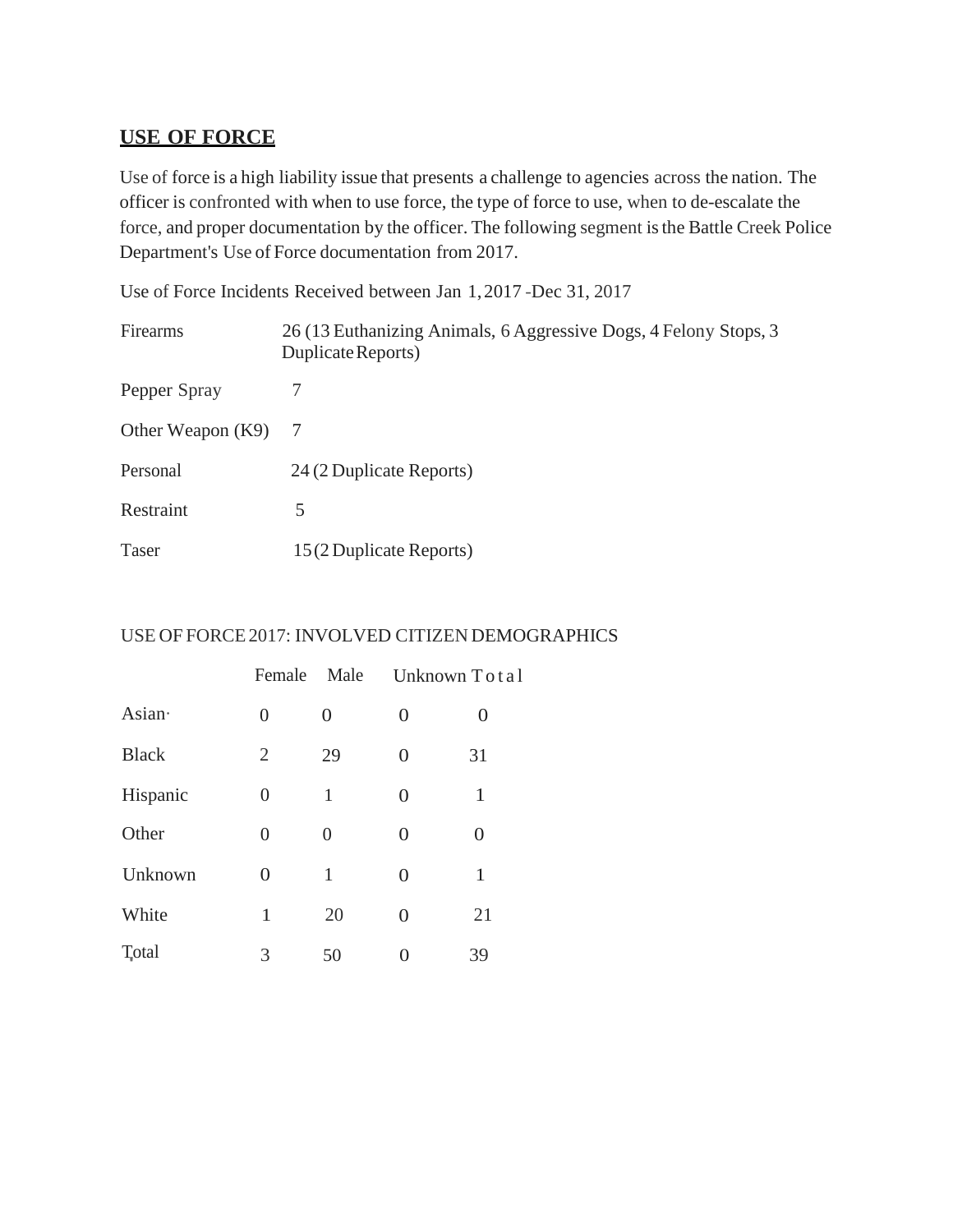# **USE OF FORCE**

Use of force is a high liability issue that presents a challenge to agencies across the nation. The officer is confronted with when to use force, the type of force to use, when to de-escalate the force, and proper documentation by the officer. The following segment isthe Battle Creek Police Department's Use of Force documentation from 2017.

Use of Force Incidents Received between Jan 1,2017 -Dec 31, 2017

| Firearms            | 26 (13 Euthanizing Animals, 6 Aggressive Dogs, 4 Felony Stops, 3<br>Duplicate Reports) |
|---------------------|----------------------------------------------------------------------------------------|
| Pepper Spray        |                                                                                        |
| Other Weapon $(K9)$ | -7                                                                                     |
| Personal            | 24 (2 Duplicate Reports)                                                               |
| Restraint           | 5                                                                                      |
| <b>Taser</b>        | 15 (2 Duplicate Reports)                                                               |

### USE OF FORCE2017: INVOLVED CITIZEN DEMOGRAPHICS

|                            | Female         | Male           |                | Unknown Total     |
|----------------------------|----------------|----------------|----------------|-------------------|
| Asian·                     | $\overline{0}$ | $\overline{0}$ | $\overline{0}$ | $\mathbf{\Omega}$ |
| <b>Black</b>               | $\overline{2}$ | 29             | 0              | 31                |
| Hispanic                   | 0              | 1              | 0              | 1                 |
| Other                      | $\overline{0}$ | 0              | 0              | $\theta$          |
| Unknown                    | $\theta$       | 1              | 0              | 1                 |
| White                      | 1              | 20             | $\overline{0}$ | 21                |
| <b>T</b> <sub>v</sub> otal | 3              | 50             | 0              | 39                |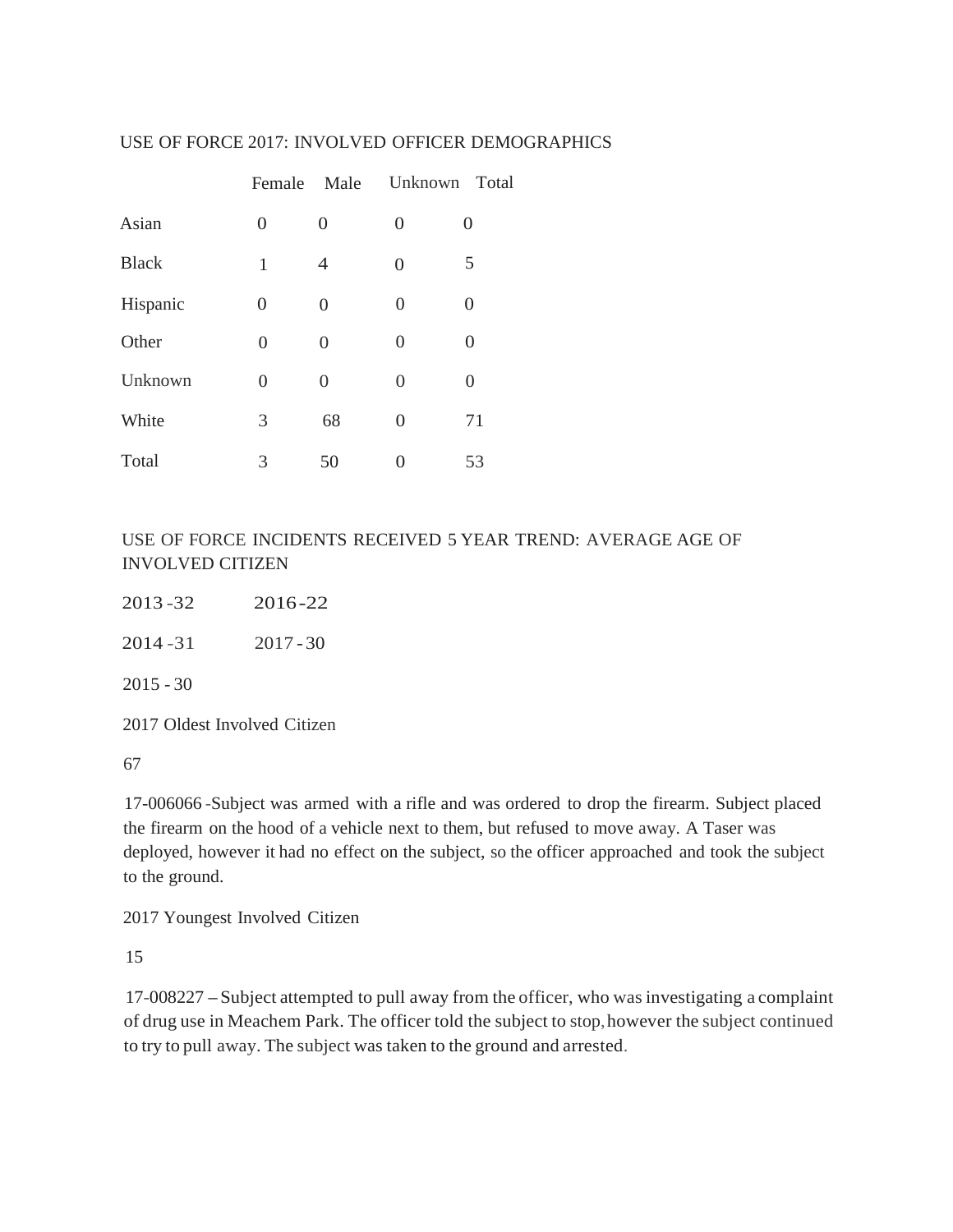#### USE OF FORCE 2017: INVOLVED OFFICER DEMOGRAPHICS

|              |                  | Female Male    | Unknown Total  |                |
|--------------|------------------|----------------|----------------|----------------|
| Asian        | 0                | $\overline{0}$ | 0              | 0              |
| <b>Black</b> | 1                | $\overline{4}$ | $\overline{0}$ | 5              |
| Hispanic     | $\boldsymbol{0}$ | $\overline{0}$ | $\Omega$       | 0              |
| Other        | $\Omega$         | 0              | $\overline{0}$ | $\overline{0}$ |
| Unknown      | $\Omega$         | 0              | 0              | 0              |
| White        | 3                | 68             | $\overline{0}$ | 71             |
| Total        | 3                | 50             |                | 53             |

USE OF FORCE INCIDENTS RECEIVED 5 YEAR TREND: AVERAGE AGE OF INVOLVED CITIZEN

| 2013-32     | 2016-22     |
|-------------|-------------|
| 2014 - 31   | $2017 - 30$ |
| $2015 - 30$ |             |
|             |             |

2017 Oldest Involved Citizen

67

17-006066 -Subject was armed with a rifle and was ordered to drop the firearm. Subject placed the firearm on the hood of a vehicle next to them, but refused to move away. A Taser was deployed, however it had no effect on the subject, so the officer approached and took the subject to the ground.

2017 Youngest Involved Citizen

15

17-008227 -Subject attempted to pull away from the officer, who wasinvestigating <sup>a</sup> complaint of drug use in Meachem Park. The officer told the subject to stop,however the subject continued to try to pull away. The subject was taken to the ground and arrested.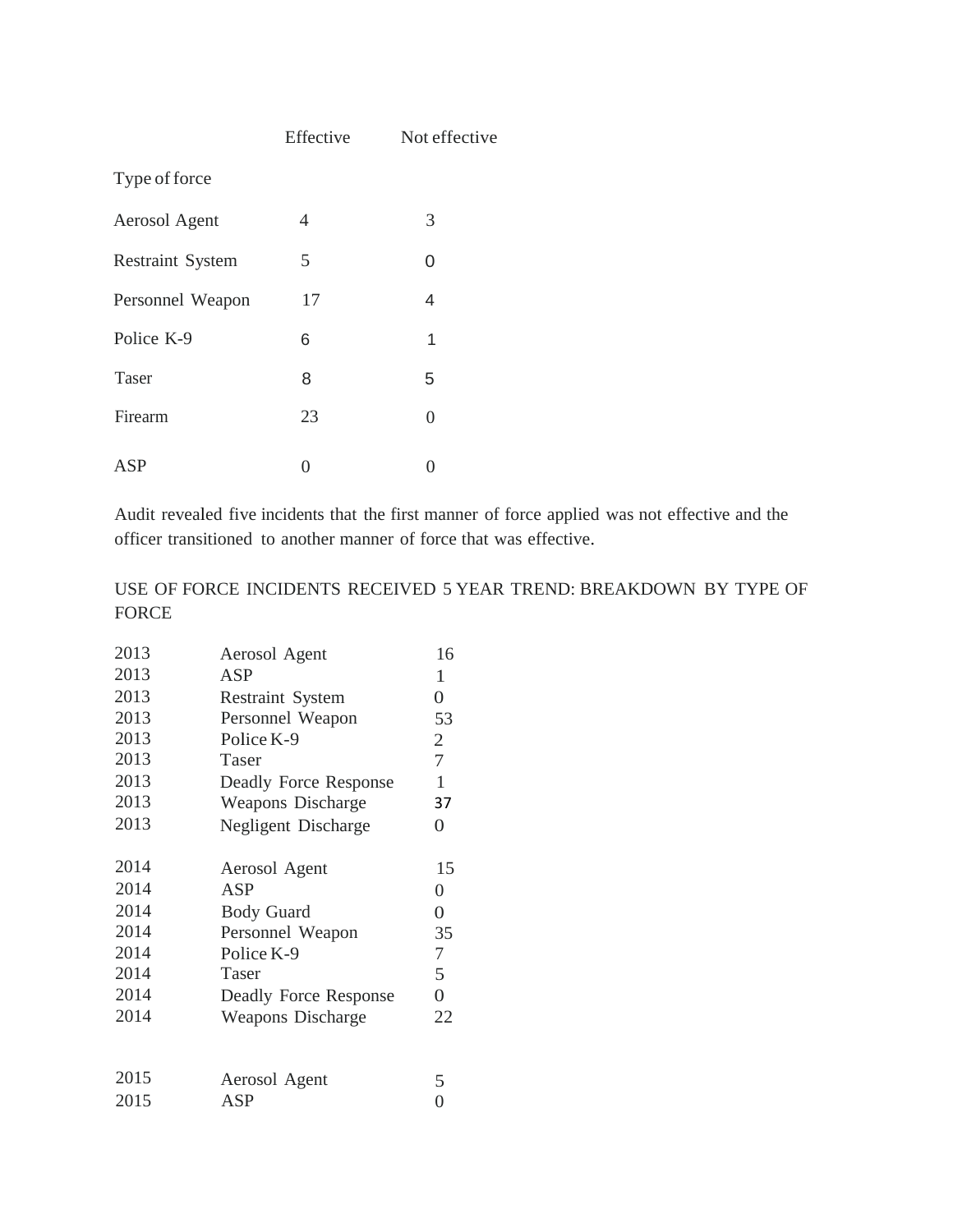|                         | Effective | Not effective  |
|-------------------------|-----------|----------------|
| Type of force           |           |                |
| Aerosol Agent           | 4         | 3              |
| <b>Restraint System</b> | 5         | 0              |
| Personnel Weapon        | 17        | 4              |
| Police K-9              | 6         | 1              |
| Taser                   | 8         | 5              |
| Firearm                 | 23        | $\overline{0}$ |
| ASP                     | O         | 0              |

Audit revealed five incidents that the first manner of force applied was not effective and the officer transitioned to another manner of force that was effective.

### USE OF FORCE INCIDENTS RECEIVED 5 YEAR TREND: BREAKDOWN BY TYPE OF FORCE

| 2013 | Aerosol Agent           | 16             |
|------|-------------------------|----------------|
| 2013 | ASP                     | 1              |
| 2013 | <b>Restraint System</b> | $\overline{0}$ |
| 2013 | Personnel Weapon        | 53             |
| 2013 | Police K-9              | $\overline{2}$ |
| 2013 | Taser                   | $\overline{7}$ |
| 2013 | Deadly Force Response   | $\mathbf{1}$   |
| 2013 | Weapons Discharge       | 37             |
| 2013 | Negligent Discharge     | 0              |
| 2014 | Aerosol Agent           | 15             |
| 2014 | ASP                     | 0              |
| 2014 | <b>Body Guard</b>       | $\overline{0}$ |
| 2014 | Personnel Weapon        | 35             |
| 2014 | Police K-9              | $\tau$         |
| 2014 | Taser                   | 5 <sup>1</sup> |
| 2014 | Deadly Force Response   | $\overline{0}$ |
| 2014 | Weapons Discharge       | 22             |
|      |                         |                |
| 2015 | Aerosol Agent           | 5              |
| 2015 | ASP                     | 0              |
|      |                         |                |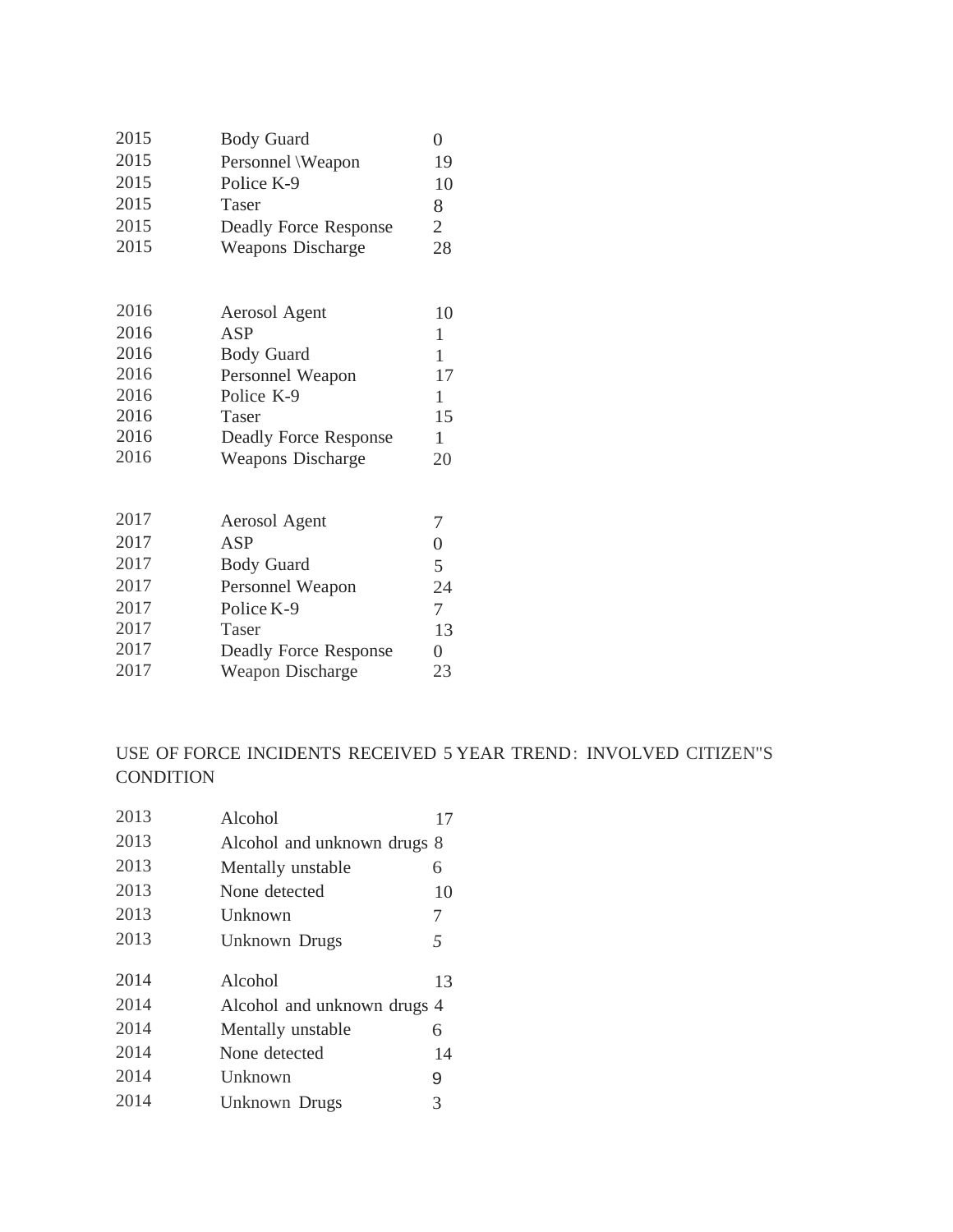| 2015 | <b>Body Guard</b>            | $\overline{0}$ |
|------|------------------------------|----------------|
| 2015 | Personnel \Weapon            | 19             |
| 2015 | Police K-9                   | 10             |
| 2015 | Taser                        | 8              |
| 2015 | <b>Deadly Force Response</b> | $\overline{2}$ |
| 2015 | <b>Weapons Discharge</b>     | 28             |
| 2016 | Aerosol Agent                | 10             |
| 2016 | ASP                          | $\mathbf{1}$   |
| 2016 | <b>Body Guard</b>            | $\mathbf{1}$   |
| 2016 | Personnel Weapon             | 17             |
| 2016 | Police K-9                   | $\mathbf{1}$   |
| 2016 | Taser                        | 15             |
| 2016 | <b>Deadly Force Response</b> | $\mathbf{1}$   |
| 2016 | <b>Weapons Discharge</b>     | 20             |
| 2017 | Aerosol Agent                | 7              |
| 2017 | ASP                          | $\overline{0}$ |
| 2017 | <b>Body Guard</b>            | 5              |
| 2017 | Personnel Weapon             | 24             |
| 2017 | Police K-9                   | $\tau$         |
| 2017 | Taser                        | 13             |
| 2017 | <b>Deadly Force Response</b> | $\overline{0}$ |
| 2017 | Weapon Discharge             | 23             |

## USE OF FORCE INCIDENTS RECEIVED 5 YEAR TREND: INVOLVED CITIZEN"S CONDITION

| 2013 | Alcohol                     | 17             |
|------|-----------------------------|----------------|
| 2013 | Alcohol and unknown drugs 8 |                |
| 2013 | Mentally unstable           | 6              |
| 2013 | None detected               | 10             |
| 2013 | Unknown                     | 7              |
| 2013 | Unknown Drugs               | $\overline{5}$ |
| 2014 | Alcohol                     | 13             |
| 2014 | Alcohol and unknown drugs 4 |                |
| 2014 | Mentally unstable           | 6              |
| 2014 | None detected               | 14             |
| 2014 | Unknown                     | 9              |
| 2014 | Unknown Drugs               | 3              |
|      |                             |                |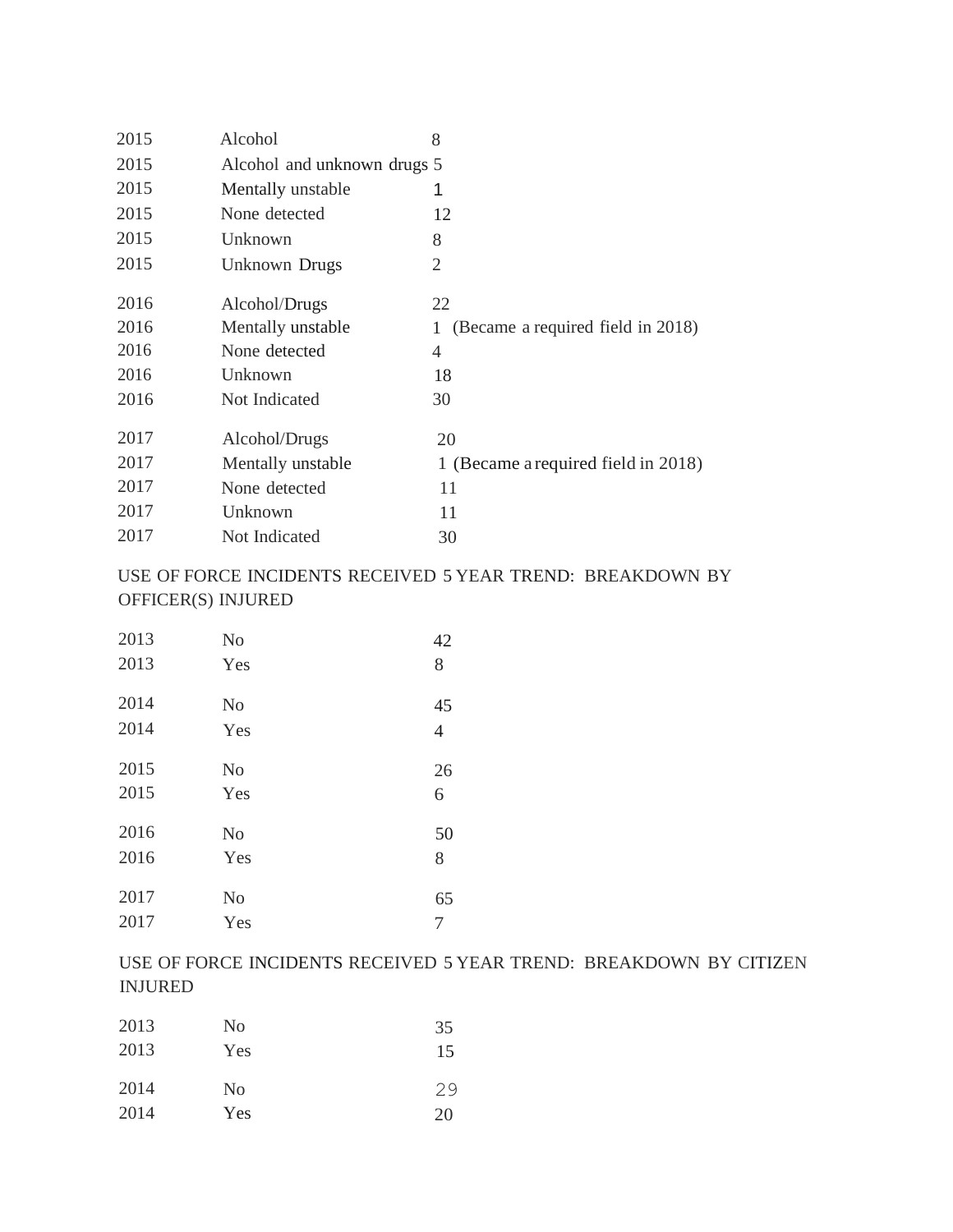| 2015 | Alcohol                     | 8                                      |
|------|-----------------------------|----------------------------------------|
| 2015 | Alcohol and unknown drugs 5 |                                        |
| 2015 | Mentally unstable           | 1                                      |
| 2015 | None detected               | 12                                     |
| 2015 | Unknown                     | 8                                      |
| 2015 | <b>Unknown Drugs</b>        | $\overline{2}$                         |
| 2016 | Alcohol/Drugs               | 22                                     |
| 2016 | Mentally unstable           | (Became a required field in 2018)<br>1 |
| 2016 | None detected               | 4                                      |
| 2016 | Unknown                     | 18                                     |
| 2016 | Not Indicated               | 30                                     |
| 2017 | Alcohol/Drugs               | 20                                     |
| 2017 | Mentally unstable           | 1 (Became a required field in 2018)    |
| 2017 | None detected               | 11                                     |
| 2017 | Unknown                     | 11                                     |
| 2017 | Not Indicated               | 30                                     |

### USE OF FORCE INCIDENTS RECEIVED 5 YEAR TREND: BREAKDOWN BY OFFICER(S) INJURED

| 2013 | N <sub>0</sub> | 42             |
|------|----------------|----------------|
| 2013 | Yes            | 8              |
| 2014 | N <sub>0</sub> | 45             |
| 2014 | Yes            | $\overline{4}$ |
| 2015 | N <sub>0</sub> | 26             |
| 2015 | Yes            | 6              |
| 2016 | N <sub>0</sub> | 50             |
| 2016 | Yes            | 8              |
| 2017 | N <sub>0</sub> | 65             |
| 2017 | Yes            | 7              |

### USE OF FORCE INCIDENTS RECEIVED 5 YEAR TREND: BREAKDOWN BY CITIZEN INJURED

| 2013 | No             | 35 |
|------|----------------|----|
| 2013 | Yes            | 15 |
| 2014 | N <sub>0</sub> | 29 |
| 2014 | Yes            | 20 |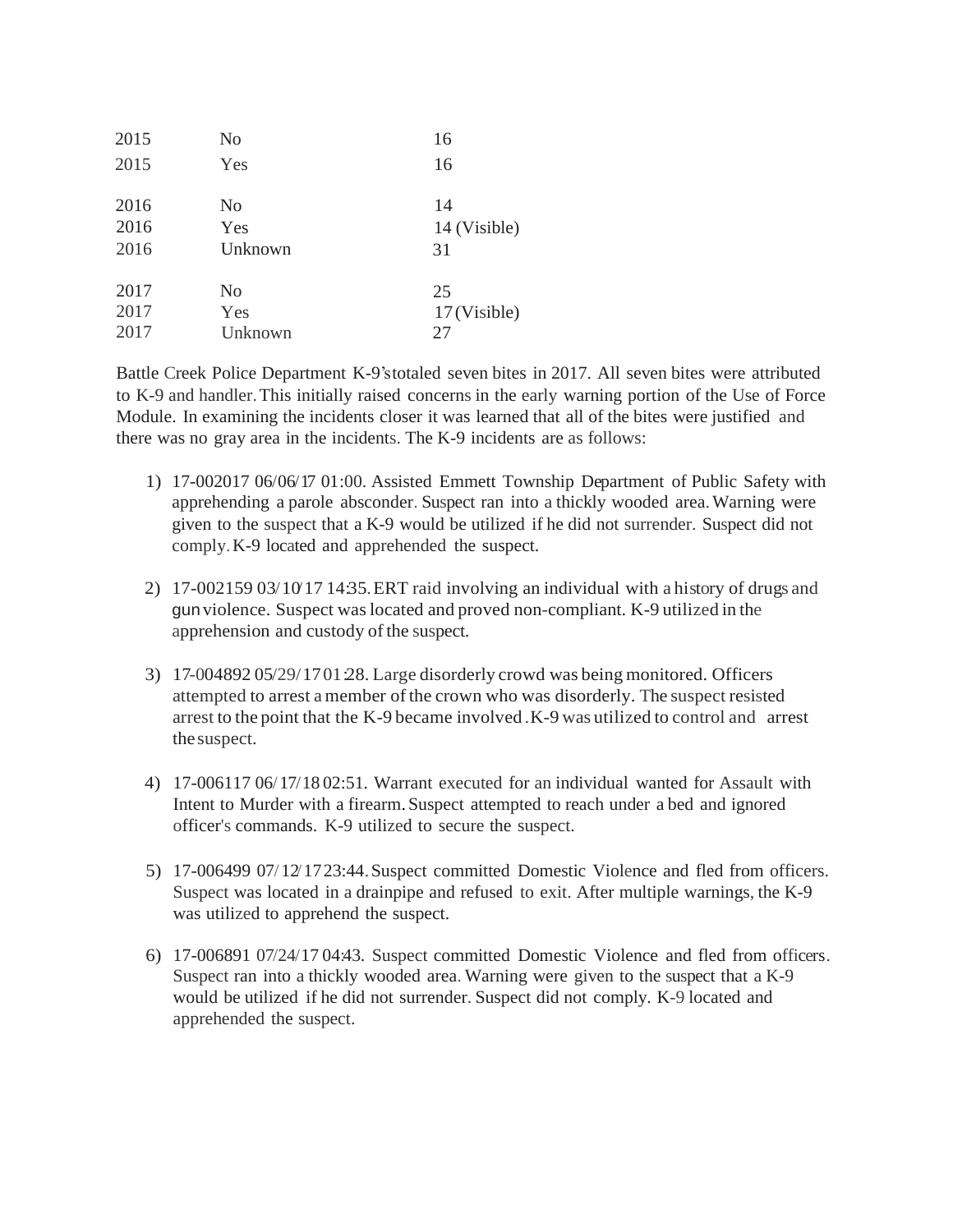| 2015 | N <sub>o</sub> | 16           |
|------|----------------|--------------|
| 2015 | Yes            | 16           |
| 2016 | No             | 14           |
| 2016 | Yes            | 14 (Visible) |
| 2016 | Unknown        | 31           |
| 2017 | N <sub>o</sub> | 25           |
| 2017 | Yes            | 17 (Visible) |
| 2017 | Unknown        | 27           |

Battle Creek Police Department K-9'stotaled seven bites in 2017. All seven bites were attributed to K-9 and handler.This initially raised concerns in the early warning portion of the Use of Force Module. In examining the incidents closer it was learned that all of the bites were justified and there was no gray area in the incidents. The K-9 incidents are as follows:

- 1) 17-002017 06/06/17 01:00. Assisted Emmett Township Department of Public Safety with apprehending a parole absconder. Suspect ran into a thickly wooded area.Warning were given to the suspect that a K-9 would be utilized if he did not surrender. Suspect did not comply.K-9 located and apprehended the suspect.
- 2) 17-002159 03/10/17 14:35. ERT raid involving an individual with a history of drugs and gun violence. Suspect waslocated and proved non-compliant. K-9 utilized in the apprehension and custody of the suspect.
- 3) 17-004892 05/29/1701 28. Large disorderly crowd was being monitored. Officers attempted to arrest amember ofthe crown who was disorderly. The suspect resisted arrest to the point that the K-9 became involved .K-9 was utilized to control and arrest thesuspect.
- 4) 17-006117 06/17/18 02:51. Warrant executed for an individual wanted for Assault with Intent to Murder with a firearm. Suspect attempted to reach under a bed and ignored officer's commands. K-9 utilized to secure the suspect.
- 5) 17-006499 07/12/1723:44.Suspect committed Domestic Violence and fled from officers. Suspect was located in a drainpipe and refused to exit. After multiple warnings, the K-9 was utilized to apprehend the suspect.
- 6) 17-006891 07/24/17 04:43. Suspect committed Domestic Violence and fled from officers. Suspect ran into a thickly wooded area. Warning were given to the suspect that a K-9 would be utilized if he did not surrender. Suspect did not comply. K-9 located and apprehended the suspect.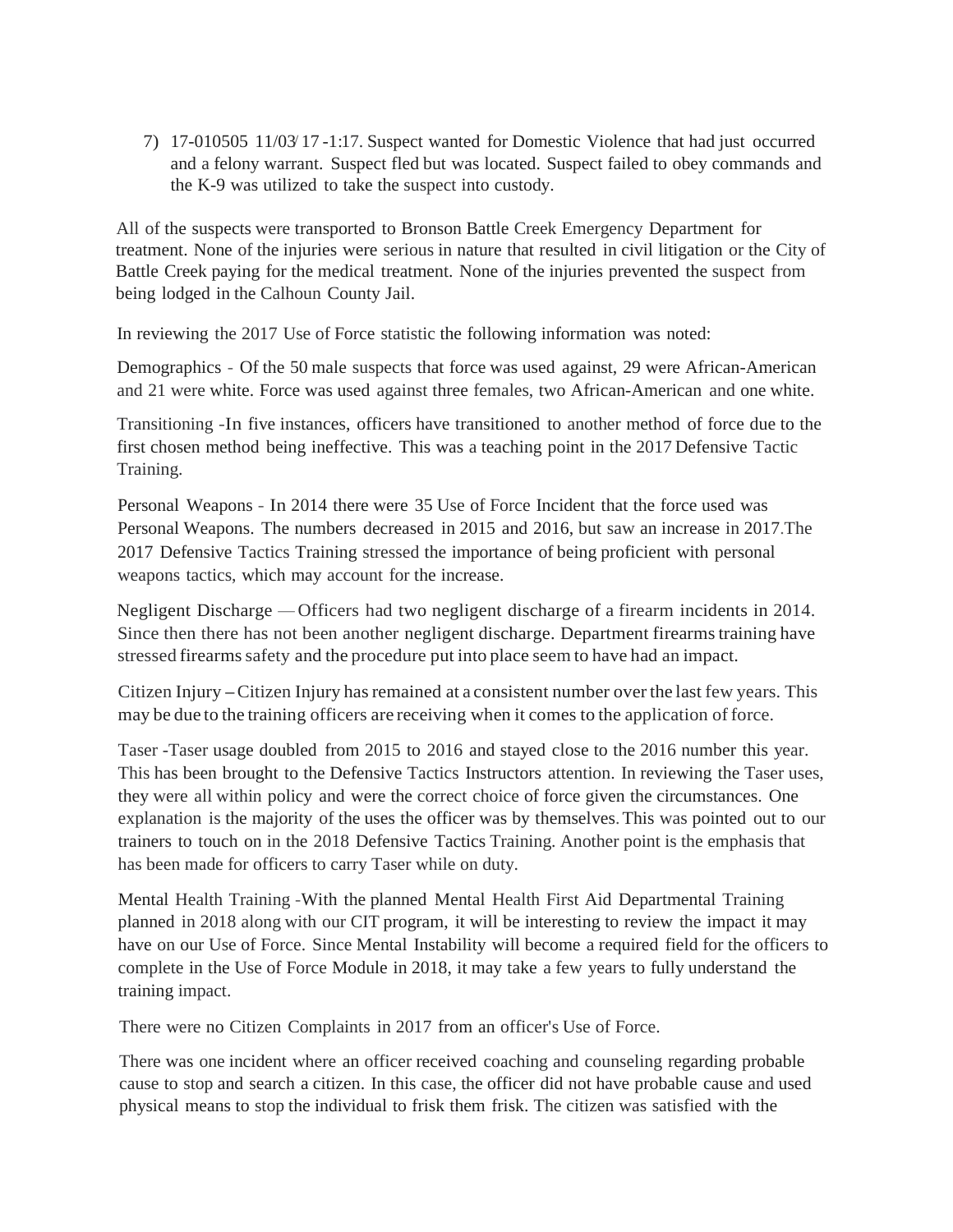7) 17-010505 11/03/ 17 -1:17. Suspect wanted for Domestic Violence that had just occurred and a felony warrant. Suspect fled but was located. Suspect failed to obey commands and the K-9 was utilized to take the suspect into custody.

All of the suspects were transported to Bronson Battle Creek Emergency Department for treatment. None of the injuries were serious in nature that resulted in civil litigation or the City of Battle Creek paying for the medical treatment. None of the injuries prevented the suspect from being lodged in the Calhoun County Jail.

In reviewing the 2017 Use of Force statistic the following information was noted:

Demographics - Of the 50 male suspects that force was used against, 29 were African-American and 21 were white. Force was used against three females, two African-American and one white.

Transitioning -In five instances, officers have transitioned to another method of force due to the first chosen method being ineffective. This was a teaching point in the 2017 Defensive Tactic Training.

Personal Weapons - In 2014 there were 35 Use of Force Incident that the force used was Personal Weapons. The numbers decreased in 2015 and 2016, but saw an increase in 2017.The 2017 Defensive Tactics Training stressed the importance of being proficient with personal weapons tactics, which may account for the increase.

Negligent Discharge –Officers had two negligent discharge of <sup>a</sup> firearm incidents in 2014. Since then there has not been another negligent discharge. Department firearmstraining have stressed firearmssafety and the procedure put into place seem to have had an impact.

Citizen Injury – Citizen Injury has remained at a consistent number over the last few years. This may be due to the training officers are receiving when it comes to the application of force.

Taser -Taser usage doubled from 2015 to 2016 and stayed close to the 2016 number this year. This has been brought to the Defensive Tactics Instructors attention. In reviewing the Taser uses, they were all within policy and were the correct choice of force given the circumstances. One explanation is the majority of the uses the officer was by themselves.This was pointed out to our trainers to touch on in the 2018 Defensive Tactics Training. Another point is the emphasis that has been made for officers to carry Taser while on duty.

Mental Health Training -With the planned Mental Health First Aid Departmental Training planned in 2018 along with our CIT program, it will be interesting to review the impact it may have on our Use of Force. Since Mental Instability will become a required field for the officers to complete in the Use of Force Module in 2018, it may take a few years to fully understand the training impact.

There were no Citizen Complaints in 2017 from an officer's Use of Force.

There was one incident where an officer received coaching and counseling regarding probable cause to stop and search a citizen. In this case, the officer did not have probable cause and used physical means to stop the individual to frisk them frisk. The citizen was satisfied with the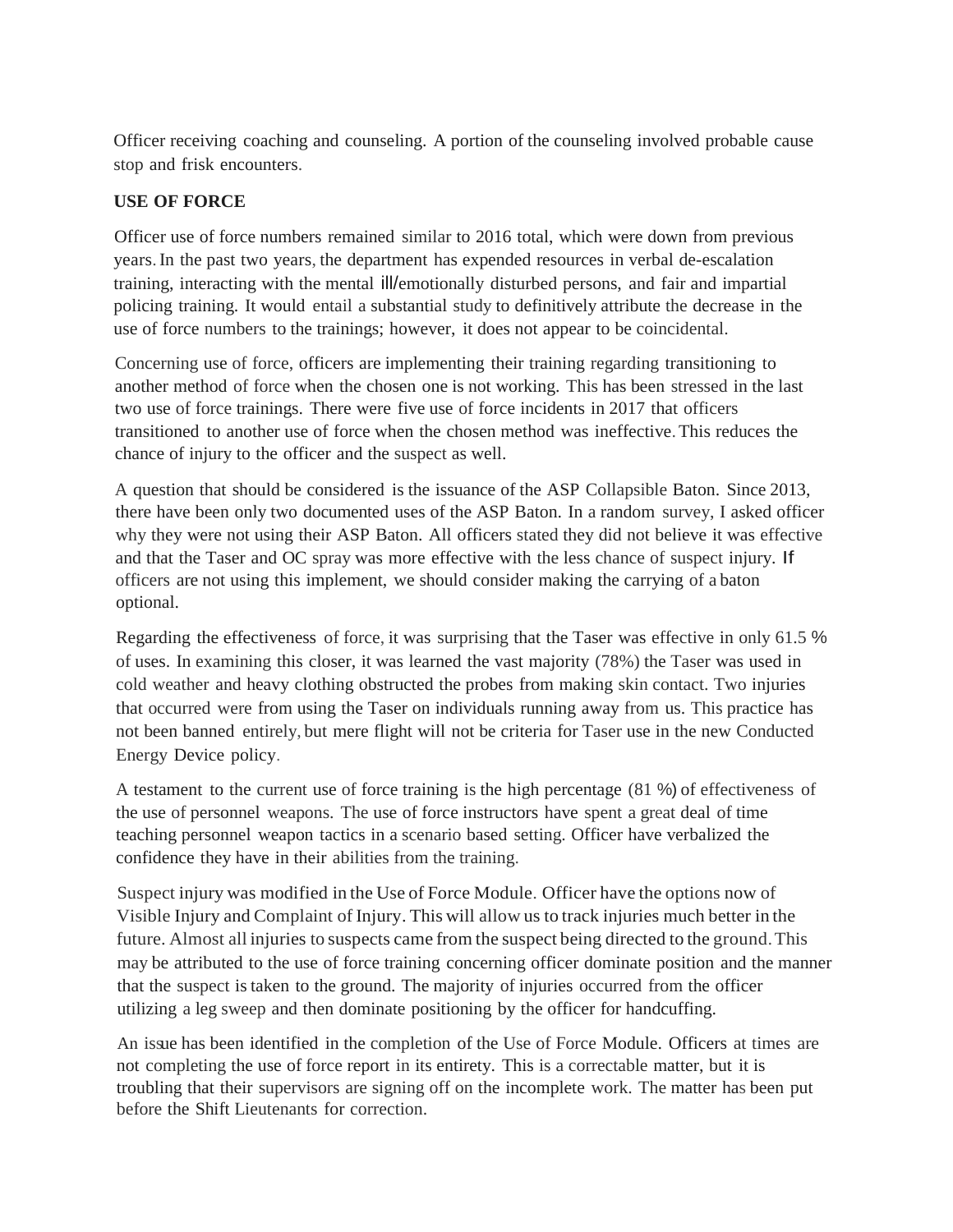Officer receiving coaching and counseling. A portion of the counseling involved probable cause stop and frisk encounters.

#### **USE OF FORCE**

Officer use of force numbers remained similar to 2016 total, which were down from previous years.In the past two years, the department has expended resources in verbal de-escalation training, interacting with the mental ill/emotionally disturbed persons, and fair and impartial policing training. It would entail a substantial study to definitively attribute the decrease in the use of force numbers to the trainings; however, it does not appear to be coincidental.

Concerning use of force, officers are implementing their training regarding transitioning to another method of force when the chosen one is not working. This has been stressed in the last two use of force trainings. There were five use of force incidents in 2017 that officers transitioned to another use of force when the chosen method was ineffective.This reduces the chance of injury to the officer and the suspect as well.

A question that should be considered is the issuance of the ASP Collapsible Baton. Since 2013, there have been only two documented uses of the ASP Baton. In a random survey, I asked officer why they were not using their ASP Baton. All officers stated they did not believe it was effective and that the Taser and OC spray was more effective with the less chance of suspect injury. If officers are not using this implement, we should consider making the carrying of a baton optional.

Regarding the effectiveness of force, it was surprising that the Taser was effective in only 61.5 % of uses. In examining this closer, it was learned the vast majority (78%) the Taser was used in cold weather and heavy clothing obstructed the probes from making skin contact. Two injuries that occurred were from using the Taser on individuals running away from us. This practice has not been banned entirely, but mere flight will not be criteria for Taser use in the new Conducted Energy Device policy.

A testament to the current use of force training is the high percentage (81 %) of effectiveness of the use of personnel weapons. The use of force instructors have spent a great deal of time teaching personnel weapon tactics in a scenario based setting. Officer have verbalized the confidence they have in their abilities from the training.

Suspect injury was modified in the Use of Force Module. Officer have the options now of Visible Injury and Complaint of Injury. This will allow us to track injuries much better in the future. Almost all injuries to suspects came from the suspect being directed to the ground.This may be attributed to the use of force training concerning officer dominate position and the manner that the suspect istaken to the ground. The majority of injuries occurred from the officer utilizing a leg sweep and then dominate positioning by the officer for handcuffing.

An issue has been identified in the completion of the Use of Force Module. Officers at times are not completing the use of force report in its entirety. This is a correctable matter, but it is troubling that their supervisors are signing off on the incomplete work. The matter has been put before the Shift Lieutenants for correction.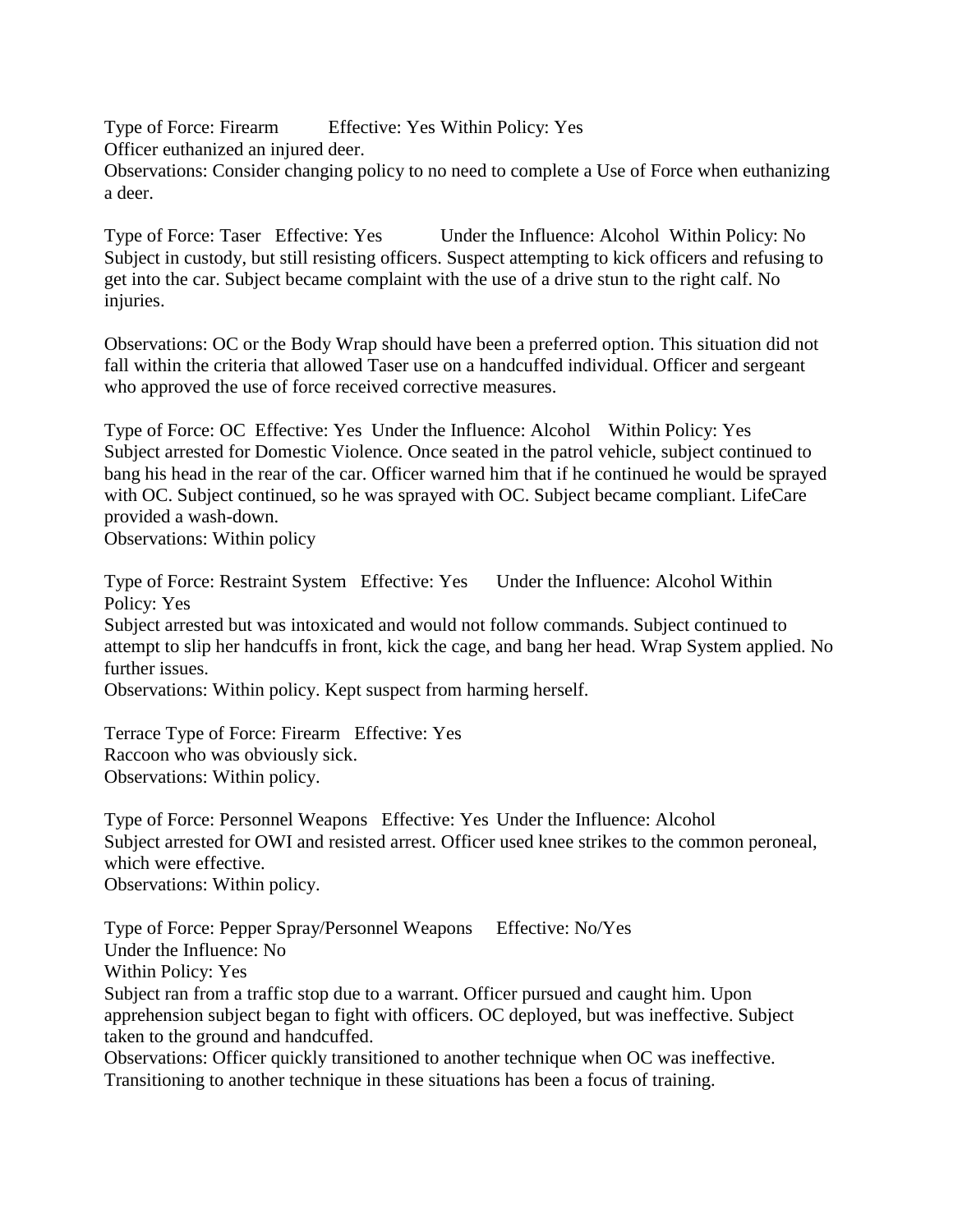Type of Force: Firearm Effective: Yes Within Policy: Yes Officer euthanized an injured deer. Observations: Consider changing policy to no need to complete a Use of Force when euthanizing a deer.

Type of Force: Taser Effective: Yes Under the Influence: Alcohol Within Policy: No Subject in custody, but still resisting officers. Suspect attempting to kick officers and refusing to get into the car. Subject became complaint with the use of a drive stun to the right calf. No injuries.

Observations: OC or the Body Wrap should have been a preferred option. This situation did not fall within the criteria that allowed Taser use on a handcuffed individual. Officer and sergeant who approved the use of force received corrective measures.

Type of Force: OC Effective: Yes Under the Influence: Alcohol Within Policy: Yes Subject arrested for Domestic Violence. Once seated in the patrol vehicle, subject continued to bang his head in the rear of the car. Officer warned him that if he continued he would be sprayed with OC. Subject continued, so he was sprayed with OC. Subject became compliant. LifeCare provided a wash-down.

Observations: Within policy

Type of Force: Restraint System Effective: Yes Under the Influence: Alcohol Within Policy: Yes

Subject arrested but was intoxicated and would not follow commands. Subject continued to attempt to slip her handcuffs in front, kick the cage, and bang her head. Wrap System applied. No further issues.

Observations: Within policy. Kept suspect from harming herself.

Terrace Type of Force: Firearm Effective: Yes Raccoon who was obviously sick. Observations: Within policy.

Type of Force: Personnel Weapons Effective: Yes Under the Influence: Alcohol Subject arrested for OWI and resisted arrest. Officer used knee strikes to the common peroneal, which were effective. Observations: Within policy.

Type of Force: Pepper Spray/Personnel Weapons Effective: No/Yes Under the Influence: No Within Policy: Yes Subject ran from a traffic stop due to a warrant. Officer pursued and caught him. Upon apprehension subject began to fight with officers. OC deployed, but was ineffective. Subject taken to the ground and handcuffed.

Observations: Officer quickly transitioned to another technique when OC was ineffective. Transitioning to another technique in these situations has been a focus of training.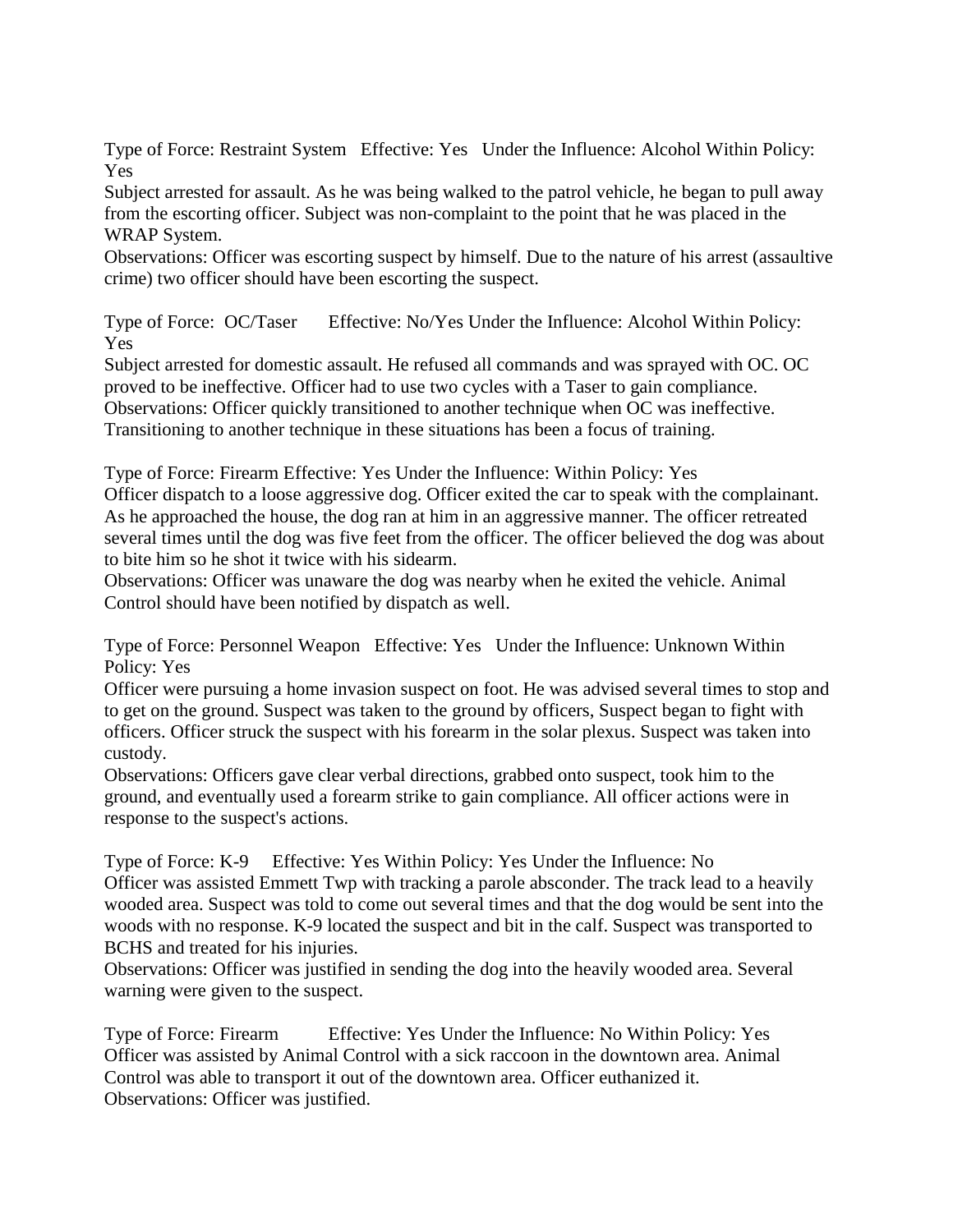Type of Force: Restraint System Effective: Yes Under the Influence: Alcohol Within Policy: Yes

Subject arrested for assault. As he was being walked to the patrol vehicle, he began to pull away from the escorting officer. Subject was non-complaint to the point that he was placed in the WRAP System.

Observations: Officer was escorting suspect by himself. Due to the nature of his arrest (assaultive crime) two officer should have been escorting the suspect.

Type of Force: OC/Taser Effective: No/Yes Under the Influence: Alcohol Within Policy: Yes

Subject arrested for domestic assault. He refused all commands and was sprayed with OC. OC proved to be ineffective. Officer had to use two cycles with a Taser to gain compliance. Observations: Officer quickly transitioned to another technique when OC was ineffective. Transitioning to another technique in these situations has been a focus of training.

Type of Force: Firearm Effective: Yes Under the Influence: Within Policy: Yes

Officer dispatch to a loose aggressive dog. Officer exited the car to speak with the complainant. As he approached the house, the dog ran at him in an aggressive manner. The officer retreated several times until the dog was five feet from the officer. The officer believed the dog was about to bite him so he shot it twice with his sidearm.

Observations: Officer was unaware the dog was nearby when he exited the vehicle. Animal Control should have been notified by dispatch as well.

Type of Force: Personnel Weapon Effective: Yes Under the Influence: Unknown Within Policy: Yes

Officer were pursuing a home invasion suspect on foot. He was advised several times to stop and to get on the ground. Suspect was taken to the ground by officers, Suspect began to fight with officers. Officer struck the suspect with his forearm in the solar plexus. Suspect was taken into custody.

Observations: Officers gave clear verbal directions, grabbed onto suspect, took him to the ground, and eventually used a forearm strike to gain compliance. All officer actions were in response to the suspect's actions.

Type of Force: K-9 Effective: Yes Within Policy: Yes Under the Influence: No Officer was assisted Emmett Twp with tracking a parole absconder. The track lead to a heavily wooded area. Suspect was told to come out several times and that the dog would be sent into the woods with no response. K-9 located the suspect and bit in the calf. Suspect was transported to BCHS and treated for his injuries.

Observations: Officer was justified in sending the dog into the heavily wooded area. Several warning were given to the suspect.

Type of Force: Firearm Effective: Yes Under the Influence: No Within Policy: Yes Officer was assisted by Animal Control with a sick raccoon in the downtown area. Animal Control was able to transport it out of the downtown area. Officer euthanized it. Observations: Officer was justified.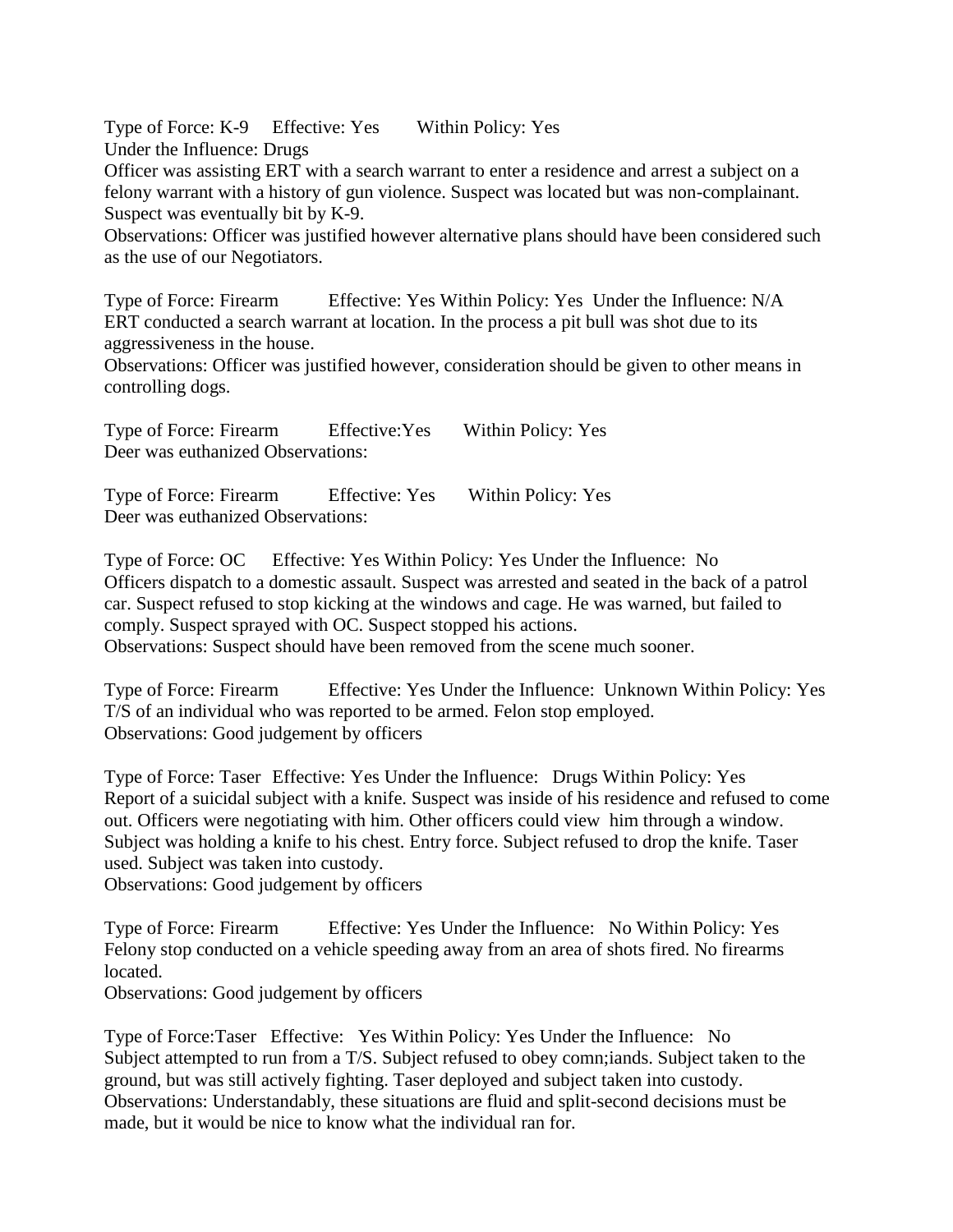Type of Force: K-9 Effective: Yes Within Policy: Yes Under the Influence: Drugs

Officer was assisting ERT with a search warrant to enter a residence and arrest a subject on a felony warrant with a history of gun violence. Suspect was located but was non-complainant. Suspect was eventually bit by K-9.

Observations: Officer was justified however alternative plans should have been considered such as the use of our Negotiators.

Type of Force: Firearm Effective: Yes Within Policy: Yes Under the Influence: N/A ERT conducted a search warrant at location. In the process a pit bull was shot due to its aggressiveness in the house.

Observations: Officer was justified however, consideration should be given to other means in controlling dogs.

Type of Force: Firearm Effective:Yes Within Policy: Yes Deer was euthanized Observations:

Type of Force: Firearm Effective: Yes Within Policy: Yes Deer was euthanized Observations:

Type of Force: OC Effective: Yes Within Policy: Yes Under the Influence: No Officers dispatch to a domestic assault. Suspect was arrested and seated in the back of a patrol car. Suspect refused to stop kicking at the windows and cage. He was warned, but failed to comply. Suspect sprayed with OC. Suspect stopped his actions. Observations: Suspect should have been removed from the scene much sooner.

Type of Force: Firearm Effective: Yes Under the Influence: Unknown Within Policy: Yes T/S of an individual who was reported to be armed. Felon stop employed. Observations: Good judgement by officers

Type of Force: Taser Effective: Yes Under the Influence: Drugs Within Policy: Yes Report of a suicidal subject with a knife. Suspect was inside of his residence and refused to come out. Officers were negotiating with him. Other officers could view him through a window. Subject was holding a knife to his chest. Entry force. Subject refused to drop the knife. Taser used. Subject was taken into custody.

Observations: Good judgement by officers

Type of Force: Firearm Effective: Yes Under the Influence: No Within Policy: Yes Felony stop conducted on a vehicle speeding away from an area of shots fired. No firearms located.

Observations: Good judgement by officers

Type of Force:Taser Effective: Yes Within Policy: Yes Under the Influence: No Subject attempted to run from a T/S. Subject refused to obey comn;iands. Subject taken to the ground, but was still actively fighting. Taser deployed and subject taken into custody. Observations: Understandably, these situations are fluid and split-second decisions must be made, but it would be nice to know what the individual ran for.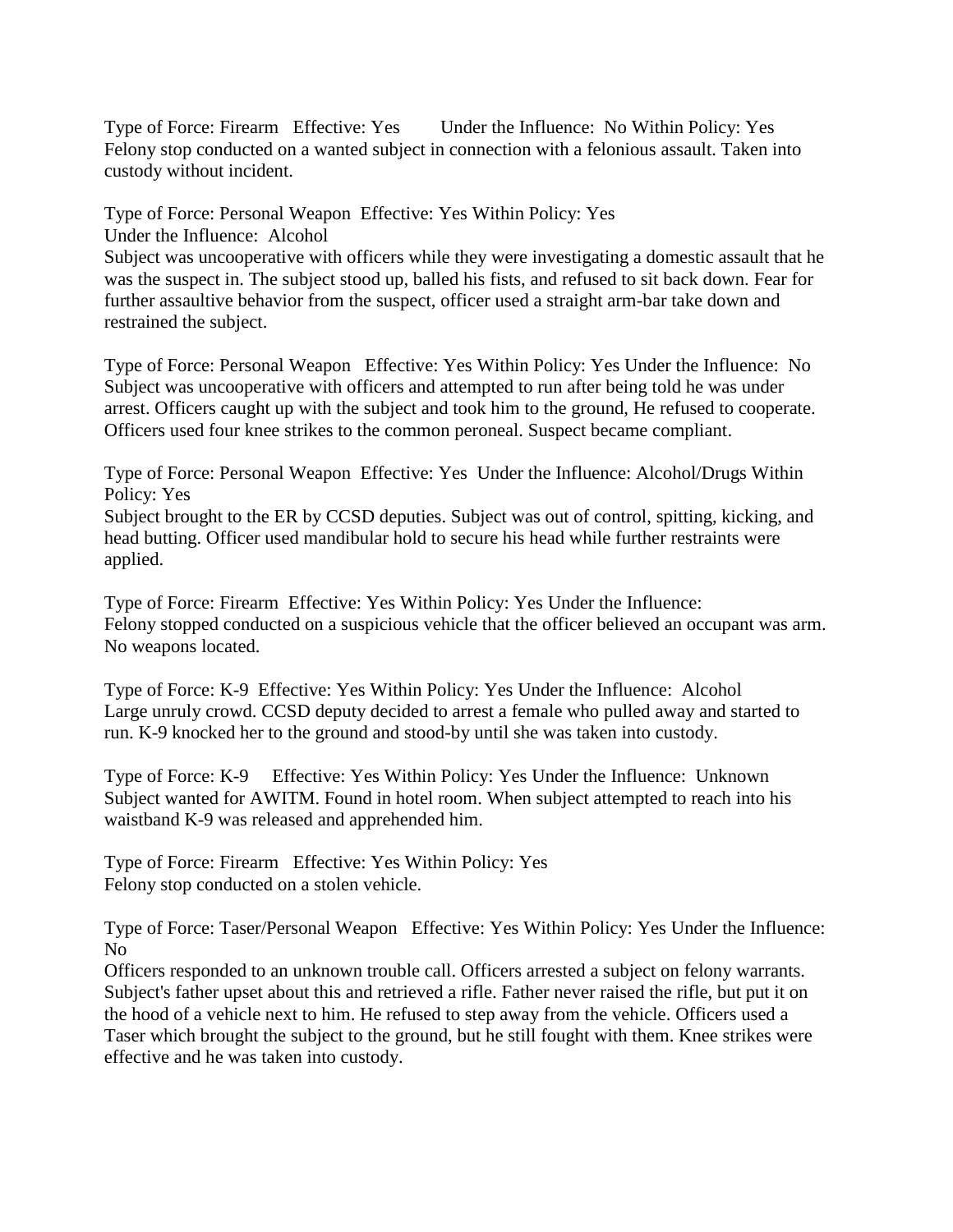Type of Force: Firearm Effective: Yes Under the Influence: No Within Policy: Yes Felony stop conducted on a wanted subject in connection with a felonious assault. Taken into custody without incident.

Type of Force: Personal Weapon Effective: Yes Within Policy: Yes

Under the Influence: Alcohol

Subject was uncooperative with officers while they were investigating a domestic assault that he was the suspect in. The subject stood up, balled his fists, and refused to sit back down. Fear for further assaultive behavior from the suspect, officer used a straight arm-bar take down and restrained the subject.

Type of Force: Personal Weapon Effective: Yes Within Policy: Yes Under the Influence: No Subject was uncooperative with officers and attempted to run after being told he was under arrest. Officers caught up with the subject and took him to the ground, He refused to cooperate. Officers used four knee strikes to the common peroneal. Suspect became compliant.

Type of Force: Personal Weapon Effective: Yes Under the Influence: Alcohol/Drugs Within Policy: Yes

Subject brought to the ER by CCSD deputies. Subject was out of control, spitting, kicking, and head butting. Officer used mandibular hold to secure his head while further restraints were applied.

Type of Force: Firearm Effective: Yes Within Policy: Yes Under the Influence: Felony stopped conducted on a suspicious vehicle that the officer believed an occupant was arm. No weapons located.

Type of Force: K-9 Effective: Yes Within Policy: Yes Under the Influence: Alcohol Large unruly crowd. CCSD deputy decided to arrest a female who pulled away and started to run. K-9 knocked her to the ground and stood-by until she was taken into custody.

Type of Force: K-9 Effective: Yes Within Policy: Yes Under the Influence: Unknown Subject wanted for AWITM. Found in hotel room. When subject attempted to reach into his waistband K-9 was released and apprehended him.

Type of Force: Firearm Effective: Yes Within Policy: Yes Felony stop conducted on a stolen vehicle.

Type of Force: Taser/Personal Weapon Effective: Yes Within Policy: Yes Under the Influence: No

Officers responded to an unknown trouble call. Officers arrested a subject on felony warrants. Subject's father upset about this and retrieved a rifle. Father never raised the rifle, but put it on the hood of a vehicle next to him. He refused to step away from the vehicle. Officers used a Taser which brought the subject to the ground, but he still fought with them. Knee strikes were effective and he was taken into custody.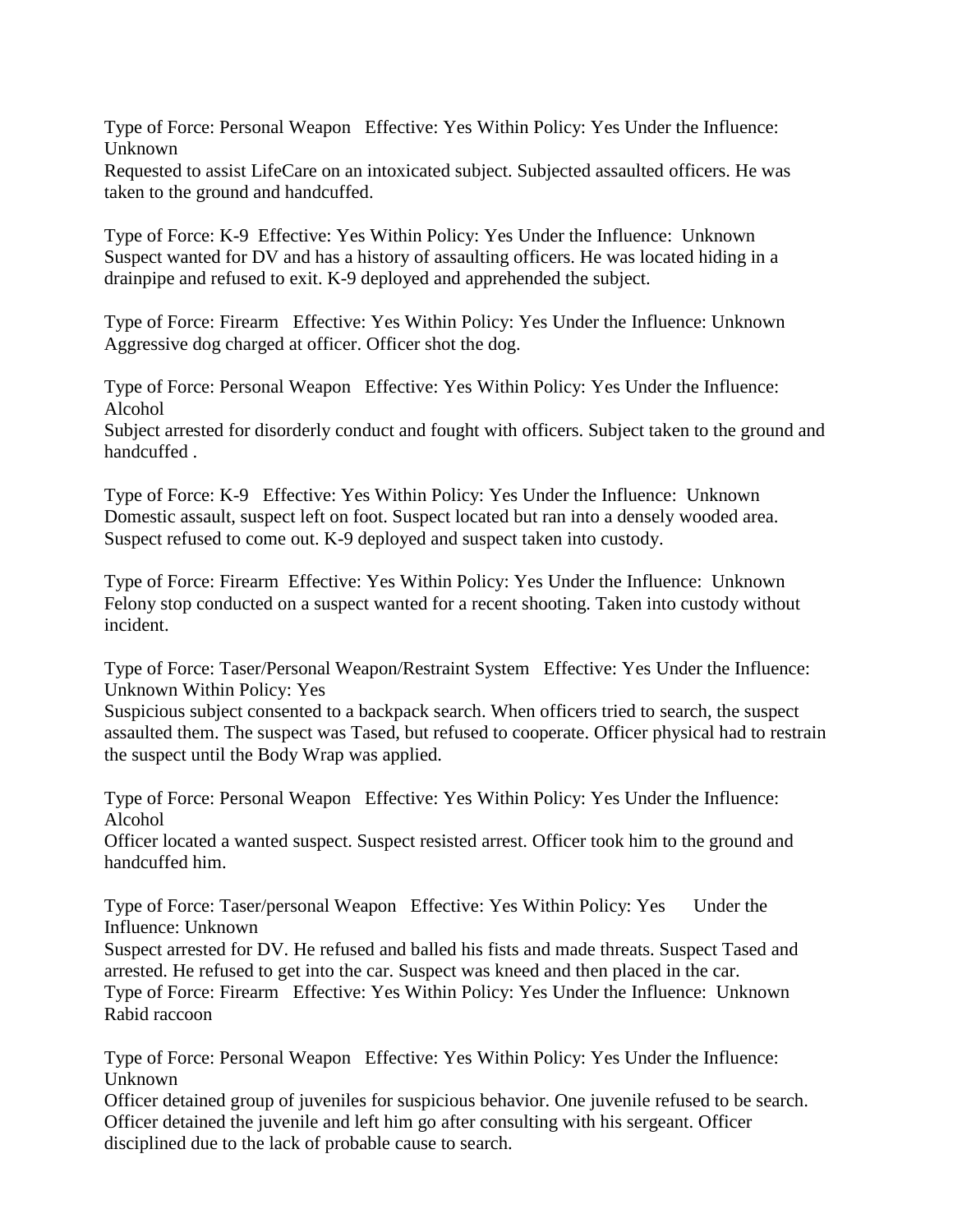Type of Force: Personal Weapon Effective: Yes Within Policy: Yes Under the Influence: Unknown

Requested to assist LifeCare on an intoxicated subject. Subjected assaulted officers. He was taken to the ground and handcuffed.

Type of Force: K-9 Effective: Yes Within Policy: Yes Under the Influence: Unknown Suspect wanted for DV and has a history of assaulting officers. He was located hiding in a drainpipe and refused to exit. K-9 deployed and apprehended the subject.

Type of Force: Firearm Effective: Yes Within Policy: Yes Under the Influence: Unknown Aggressive dog charged at officer. Officer shot the dog.

Type of Force: Personal Weapon Effective: Yes Within Policy: Yes Under the Influence: Alcohol

Subject arrested for disorderly conduct and fought with officers. Subject taken to the ground and handcuffed .

Type of Force: K-9 Effective: Yes Within Policy: Yes Under the Influence: Unknown Domestic assault, suspect left on foot. Suspect located but ran into a densely wooded area. Suspect refused to come out. K-9 deployed and suspect taken into custody.

Type of Force: Firearm Effective: Yes Within Policy: Yes Under the Influence: Unknown Felony stop conducted on a suspect wanted for a recent shooting. Taken into custody without incident.

Type of Force: Taser/Personal Weapon/Restraint System Effective: Yes Under the Influence: Unknown Within Policy: Yes

Suspicious subject consented to a backpack search. When officers tried to search, the suspect assaulted them. The suspect was Tased, but refused to cooperate. Officer physical had to restrain the suspect until the Body Wrap was applied.

Type of Force: Personal Weapon Effective: Yes Within Policy: Yes Under the Influence: Alcohol

Officer located a wanted suspect. Suspect resisted arrest. Officer took him to the ground and handcuffed him.

Type of Force: Taser/personal Weapon Effective: Yes Within Policy: Yes Under the Influence: Unknown

Suspect arrested for DV. He refused and balled his fists and made threats. Suspect Tased and arrested. He refused to get into the car. Suspect was kneed and then placed in the car. Type of Force: Firearm Effective: Yes Within Policy: Yes Under the Influence: Unknown Rabid raccoon

Type of Force: Personal Weapon Effective: Yes Within Policy: Yes Under the Influence: Unknown

Officer detained group of juveniles for suspicious behavior. One juvenile refused to be search. Officer detained the juvenile and left him go after consulting with his sergeant. Officer disciplined due to the lack of probable cause to search.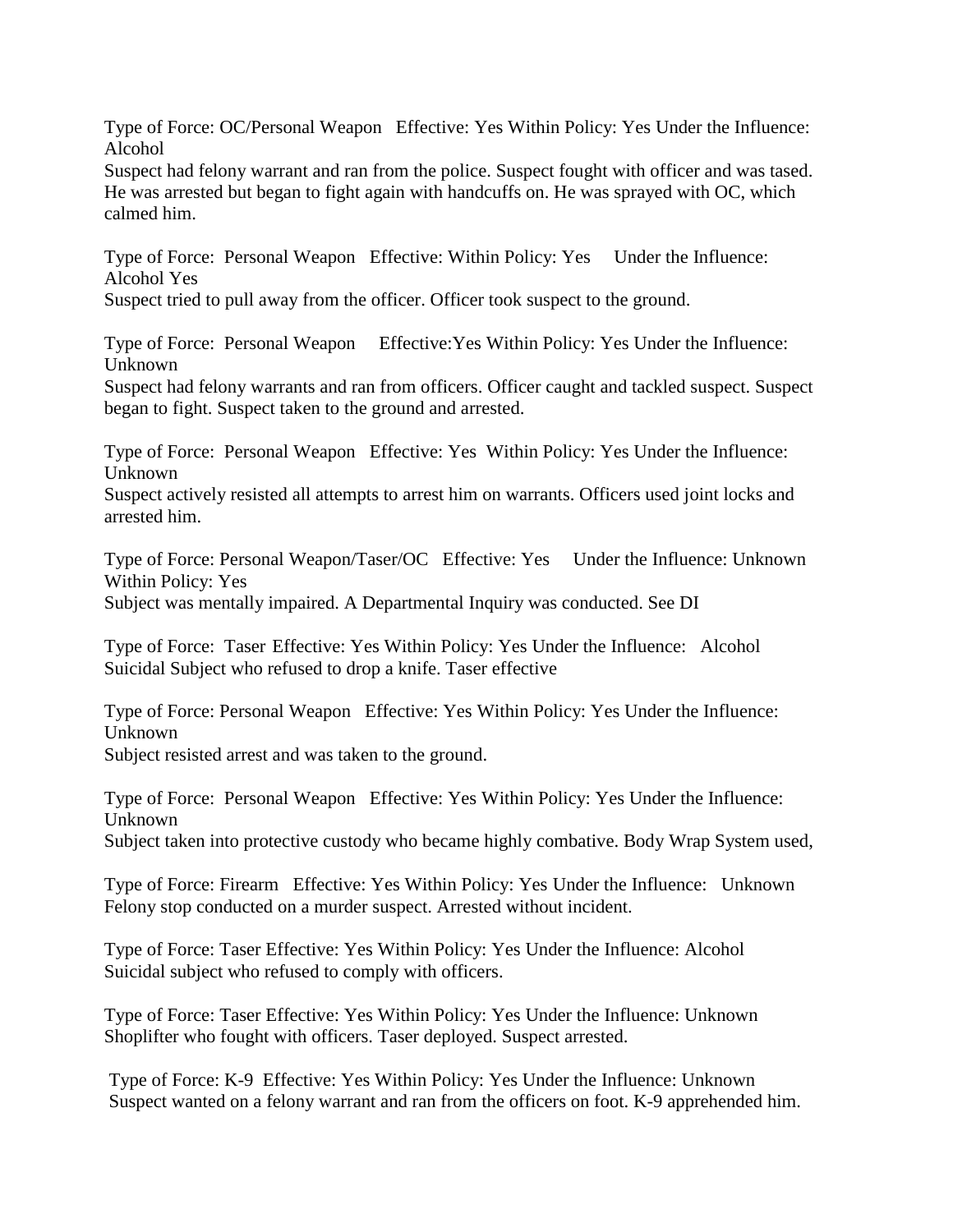Type of Force: OC/Personal Weapon Effective: Yes Within Policy: Yes Under the Influence: Alcohol

Suspect had felony warrant and ran from the police. Suspect fought with officer and was tased. He was arrested but began to fight again with handcuffs on. He was sprayed with OC, which calmed him.

Type of Force: Personal Weapon Effective: Within Policy: Yes Under the Influence: Alcohol Yes

Suspect tried to pull away from the officer. Officer took suspect to the ground.

Type of Force: Personal Weapon Effective:Yes Within Policy: Yes Under the Influence: Unknown

Suspect had felony warrants and ran from officers. Officer caught and tackled suspect. Suspect began to fight. Suspect taken to the ground and arrested.

Type of Force: Personal Weapon Effective: Yes Within Policy: Yes Under the Influence: Unknown

Suspect actively resisted all attempts to arrest him on warrants. Officers used joint locks and arrested him.

Type of Force: Personal Weapon/Taser/OC Effective: Yes Under the Influence: Unknown Within Policy: Yes

Subject was mentally impaired. A Departmental Inquiry was conducted. See DI

Type of Force: Taser Effective: Yes Within Policy: Yes Under the Influence: Alcohol Suicidal Subject who refused to drop a knife. Taser effective

Type of Force: Personal Weapon Effective: Yes Within Policy: Yes Under the Influence: Unknown

Subject resisted arrest and was taken to the ground.

Type of Force: Personal Weapon Effective: Yes Within Policy: Yes Under the Influence: Unknown

Subject taken into protective custody who became highly combative. Body Wrap System used,

Type of Force: Firearm Effective: Yes Within Policy: Yes Under the Influence: Unknown Felony stop conducted on a murder suspect. Arrested without incident.

Type of Force: Taser Effective: Yes Within Policy: Yes Under the Influence: Alcohol Suicidal subject who refused to comply with officers.

Type of Force: Taser Effective: Yes Within Policy: Yes Under the Influence: Unknown Shoplifter who fought with officers. Taser deployed. Suspect arrested.

Type of Force: K-9 Effective: Yes Within Policy: Yes Under the Influence: Unknown Suspect wanted on a felony warrant and ran from the officers on foot. K-9 apprehended him.